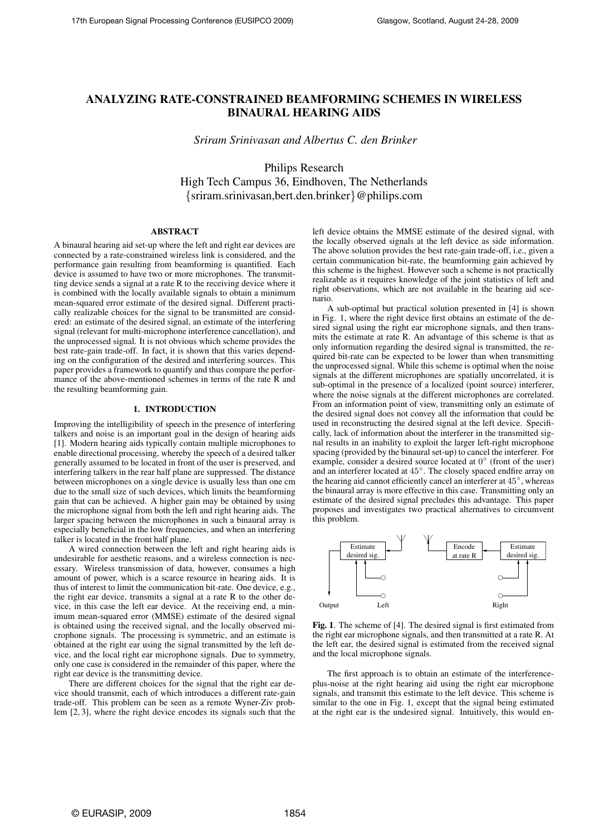# **ANALYZING RATE-CONSTRAINED BEAMFORMING SCHEMES IN WIRELESS BINAURAL HEARING AIDS**

*Sriram Srinivasan and Albertus C. den Brinker*

Philips Research High Tech Campus 36, Eindhoven, The Netherlands {sriram.srinivasan,bert.den.brinker}@philips.com

## **ABSTRACT**

A binaural hearing aid set-up where the left and right ear devices are connected by a rate-constrained wireless link is considered, and the performance gain resulting from beamforming is quantified. Each device is assumed to have two or more microphones. The transmitting device sends a signal at a rate R to the receiving device where it is combined with the locally available signals to obtain a minimum mean-squared error estimate of the desired signal. Different practically realizable choices for the signal to be transmitted are considered: an estimate of the desired signal, an estimate of the interfering signal (relevant for multi-microphone interference cancellation), and the unprocessed signal. It is not obvious which scheme provides the best rate-gain trade-off. In fact, it is shown that this varies depending on the configuration of the desired and interfering sources. This paper provides a framework to quantify and thus compare the performance of the above-mentioned schemes in terms of the rate R and the resulting beamforming gain.

# **1. INTRODUCTION**

Improving the intelligibility of speech in the presence of interfering talkers and noise is an important goal in the design of hearing aids [1]. Modern hearing aids typically contain multiple microphones to enable directional processing, whereby the speech of a desired talker generally assumed to be located in front of the user is preserved, and interfering talkers in the rear half plane are suppressed. The distance between microphones on a single device is usually less than one cm due to the small size of such devices, which limits the beamforming gain that can be achieved. A higher gain may be obtained by using the microphone signal from both the left and right hearing aids. The larger spacing between the microphones in such a binaural array is especially beneficial in the low frequencies, and when an interfering PSfrag replacements talker is located in the front half plane.

A wired connection between the left and right hearing aids is undesirable for aesthetic reasons, and a wireless connection is necessary. Wireless transmission of data, however, consumes a high amount of power, which is a scarce resource in hearing aids. It is thus of interest to limit the communication bit-rate. One device, e.g., the right ear device, transmits a signal at a rate R to the other device, in this case the left ear device. At the receiving end, a minimum mean-squared error (MMSE) estimate of the desired signal is obtained using the received signal, and the locally observed microphone signals. The processing is symmetric, and an estimate is obtained at the right ear using the signal transmitted by the left device, and the local right ear microphone signals. Due to symmetry, only one case is considered in the remainder of this paper, where the right ear device is the transmitting device.

There are different choices for the signal that the right ear device should transmit, each of which introduces a different rate-gain trade-off. This problem can be seen as a remote Wyner-Ziv problem [2, 3], where the right device encodes its signals such that the

left device obtains the MMSE estimate of the desired signal, with the locally observed signals at the left device as side information. The above solution provides the best rate-gain trade-off, i.e., given a certain communication bit-rate, the beamforming gain achieved by this scheme is the highest. However such a scheme is not practically realizable as it requires knowledge of the joint statistics of left and right observations, which are not available in the hearing aid scenario.

A sub-optimal but practical solution presented in [4] is shown in Fig. 1, where the right device first obtains an estimate of the desired signal using the right ear microphone signals, and then transmits the estimate at rate R. An advantage of this scheme is that as only information regarding the desired signal is transmitted, the required bit-rate can be expected to be lower than when transmitting the unprocessed signal. While this scheme is optimal when the noise signals at the different microphones are spatially uncorrelated, it is sub-optimal in the presence of a localized (point source) interferer, where the noise signals at the different microphones are correlated. From an information point of view, transmitting only an estimate of the desired signal does not convey all the information that could be used in reconstructing the desired signal at the left device. Specifically, lack of information about the interferer in the transmitted signal results in an inability to exploit the larger left-right microphone spacing (provided by the binaural set-up) to cancel the interferer. For example, consider a desired source located at 0° (front of the user) and an interferer located at 45◦ . The closely spaced endfire array on the hearing aid cannot efficiently cancel an interferer at 45◦ , whereas the binaural array is more effective in this case. Transmitting only an estimate of the desired signal precludes this advantage. This paper proposes and investigates two practical alternatives to circumvent this problem.



**Fig. 1**. The scheme of [4]. The desired signal is first estimated from the right ear microphone signals, and then transmitted at a rate R. At the left ear, the desired signal is estimated from the received signal and the local microphone signals.

The first approach is to obtain an estimate of the interferenceplus-noise at the right hearing aid using the right ear microphone signals, and transmit this estimate to the left device. This scheme is similar to the one in Fig. 1, except that the signal being estimated at the right ear is the undesired signal. Intuitively, this would en-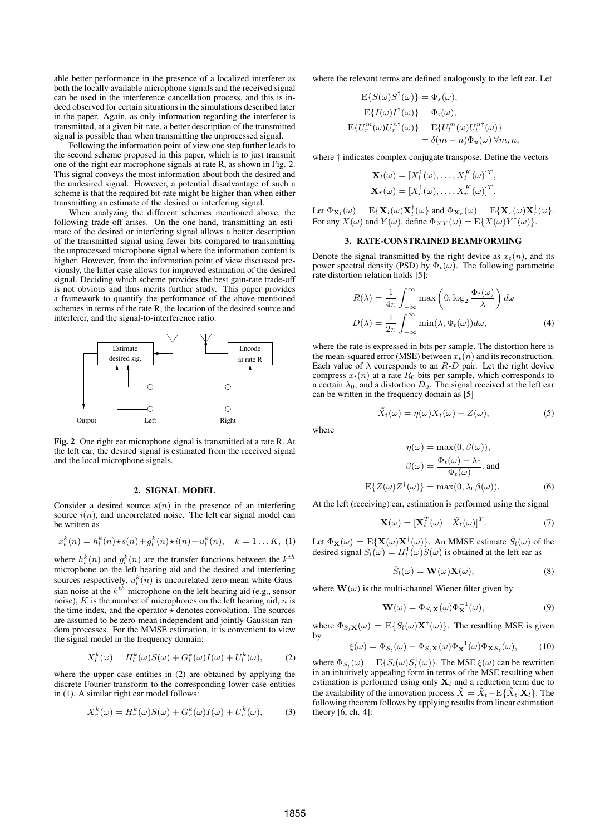able better performance in the presence of a localized interferer as both the locally available microphone signals and the received signal can be used in the interference cancellation process, and this is indeed observed for certain situations in the simulations described later in the paper. Again, as only information regarding the interferer is transmitted, at a given bit-rate, a better description of the transmitted signal is possible than when transmitting the unprocessed signal.

Following the information point of view one step further leads to the second scheme proposed in this paper, which is to just transmit one of the right ear microphone signals at rate R, as shown in Fig. 2. This signal conveys the most information about both the desired and the undesired signal. However, a potential disadvantage of such a scheme is that the required bit-rate might be higher than when either transmitting an estimate of the desired or interfering signal.

When analyzing the different schemes mentioned above, the following trade-off arises. On the one hand, transmitting an estimate of the desired or interfering signal allows a better description of the transmitted signal using fewer bits compared to transmitting the unprocessed microphone signal where the information content is higher. However, from the information point of view discussed previously, the latter case allows for improved estimation of the desired signal. Deciding which scheme provides the best gain-rate trade-off is not obvious and thus merits further study. This paper provides a framework to quantify the performance of the above-mentioned schemes in terms of the rate R, the location of the desired source and interferer, and the signal-to-interference ratio.



**Fig. 2**. One right ear microphone signal is transmitted at a rate R. At the left ear, the desired signal is estimated from the received signal and the local microphone signals.

# **2. SIGNAL MODEL**

Consider a desired source  $s(n)$  in the presence of an interfering source  $i(n)$ , and uncorrelated noise. The left ear signal model can be written as

$$
x_l^k(n) = h_l^k(n) \star s(n) + g_l^k(n) \star i(n) + u_l^k(n), \quad k = 1...K, (1)
$$

where  $h_l^k(n)$  and  $g_l^k(n)$  are the transfer functions between the  $k^{th}$ microphone on the left hearing aid and the desired and interfering sources respectively,  $u_l^k(n)$  is uncorrelated zero-mean white Gaussian noise at the  $k^{th}$  microphone on the left hearing aid (e.g., sensor noise),  $K$  is the number of microphones on the left hearing aid,  $n$  is the time index, and the operator  $\star$  denotes convolution. The sources are assumed to be zero-mean independent and jointly Gaussian random processes. For the MMSE estimation, it is convenient to view the signal model in the frequency domain:

$$
X_l^k(\omega) = H_l^k(\omega)S(\omega) + G_l^k(\omega)I(\omega) + U_l^k(\omega), \qquad (2)
$$

where the upper case entities in (2) are obtained by applying the discrete Fourier transform to the corresponding lower case entities in (1). A similar right ear model follows:

$$
X_r^k(\omega) = H_r^k(\omega)S(\omega) + G_r^k(\omega)I(\omega) + U_r^k(\omega), \tag{3}
$$

where the relevant terms are defined analogously to the left ear. Let

$$
E\{S(\omega)S^{\dagger}(\omega)\} = \Phi_s(\omega),
$$
  
\n
$$
E\{I(\omega)I^{\dagger}(\omega)\} = \Phi_i(\omega),
$$
  
\n
$$
E\{U_r^m(\omega)U_r^{n\dagger}(\omega)\} = E\{U_l^m(\omega)U_l^{n\dagger}(\omega)\}
$$
  
\n
$$
= \delta(m-n)\Phi_u(\omega) \,\forall m, n,
$$

where † indicates complex conjugate transpose. Define the vectors

$$
\mathbf{X}_{l}(\omega) = [X_{l}^{1}(\omega), \dots, X_{l}^{K}(\omega)]^{T},
$$
  

$$
\mathbf{X}_{r}(\omega) = [X_{r}^{1}(\omega), \dots, X_{r}^{K}(\omega)]^{T}.
$$

Let  $\Phi_{\mathbf{X}_l}(\omega) = \mathrm{E}\{\mathbf{X}_l(\omega)\mathbf{X}_l^{\dagger}(\omega)\}\$  and  $\Phi_{\mathbf{X}_r}(\omega) = \mathrm{E}\{\mathbf{X}_r(\omega)\mathbf{X}_r^{\dagger}(\omega)\}.$ For any  $X(\omega)$  and  $Y(\omega)$ , define  $\Phi_{XY}(\omega) = E\{X(\omega)Y^{\dagger}(\omega)\}.$ 

#### **3. RATE-CONSTRAINED BEAMFORMING**

Denote the signal transmitted by the right device as  $x_t(n)$ , and its power spectral density (PSD) by  $\Phi_t(\omega)$ . The following parametric rate distortion relation holds [5]:

$$
R(\lambda) = \frac{1}{4\pi} \int_{-\infty}^{\infty} \max\left(0, \log_2 \frac{\Phi_t(\omega)}{\lambda}\right) d\omega
$$

$$
D(\lambda) = \frac{1}{2\pi} \int_{-\infty}^{\infty} \min(\lambda, \Phi_t(\omega)) d\omega,
$$
(4)

where the rate is expressed in bits per sample. The distortion here is the mean-squared error (MSE) between  $x_t(n)$  and its reconstruction. Each value of  $\lambda$  corresponds to an  $R$ -D pair. Let the right device compress  $x_t(n)$  at a rate  $R_0$  bits per sample, which corresponds to a certain  $\lambda_0$ , and a distortion  $D_0$ . The signal received at the left ear can be written in the frequency domain as [5]

$$
\tilde{X}_t(\omega) = \eta(\omega) X_t(\omega) + Z(\omega), \tag{5}
$$

where

$$
\eta(\omega) = \max(0, \beta(\omega)),
$$

$$
\beta(\omega) = \frac{\Phi_t(\omega) - \lambda_0}{\Phi_t(\omega)}, \text{and}
$$

$$
E\{Z(\omega)Z^{\dagger}(\omega)\} = \max(0, \lambda_0\beta(\omega)).
$$
 (6)

At the left (receiving) ear, estimation is performed using the signal

$$
\mathbf{X}(\omega) = [\mathbf{X}_l^T(\omega) \quad \tilde{X}_t(\omega)]^T.
$$
 (7)

Let  $\Phi_{\mathbf{X}}(\omega) = \mathrm{E}\{\mathbf{X}(\omega)\mathbf{X}^{\dagger}(\omega)\}\$ . An MMSE estimate  $\hat{S}_l(\omega)$  of the desired signal  $S_l(\omega) = H_l^1(\omega)S(\omega)$  is obtained at the left ear as

$$
\hat{S}_l(\omega) = \mathbf{W}(\omega) \mathbf{X}(\omega),\tag{8}
$$

where  $\mathbf{W}(\omega)$  is the multi-channel Wiener filter given by

$$
\mathbf{W}(\omega) = \Phi_{S_l} \mathbf{x}(\omega) \Phi_{\mathbf{X}}^{-1}(\omega), \tag{9}
$$

where  $\Phi_{S_l} \mathbf{x}(\omega) = \mathbb{E} \{ S_l(\omega) \mathbf{X}^\dagger(\omega) \}$ . The resulting MSE is given by

$$
\xi(\omega) = \Phi_{S_l}(\omega) - \Phi_{S_l} \mathbf{x}(\omega) \Phi_{\mathbf{X}}^{-1}(\omega) \Phi_{\mathbf{X}S_l}(\omega), \quad (10)
$$

where  $\Phi_{S_l}(\omega) = \mathbb{E}\{S_l(\omega)S_l^{\dagger}(\omega)\}\.$  The MSE  $\xi(\omega)$  can be rewritten in an intuitively appealing form in terms of the MSE resulting when estimation is performed using only  $X_l$  and a reduction term due to the availability of the innovation process  $\tilde{X} = \tilde{X}_t - \mathrm{E}\{\tilde{X}_t | \mathbf{X}_t\}$ . The following theorem follows by applying results from linear estimation theory [6, ch. 4]: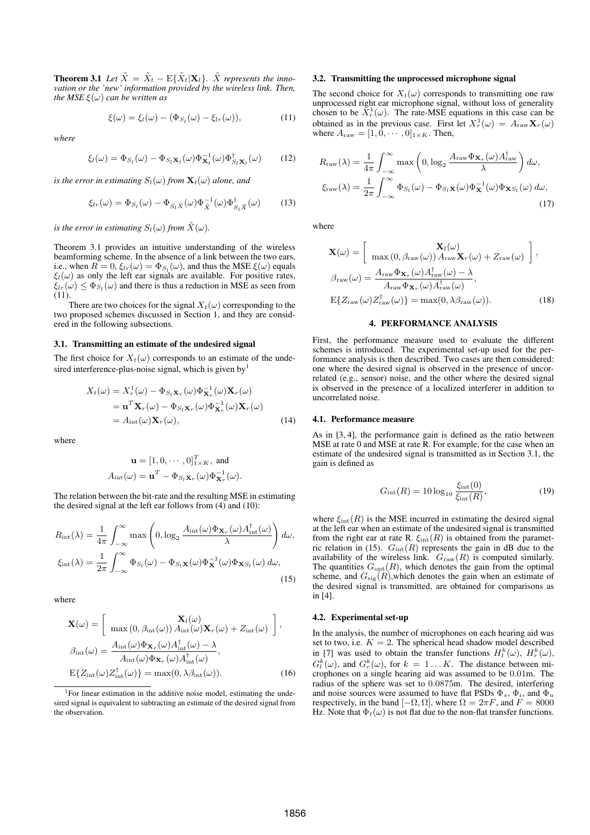**Theorem 3.1** *Let*  $\tilde{X} = \tilde{X}_t - E\{\tilde{X}_t | \mathbf{X}_t\}$ *.*  $\tilde{X}$  *represents the innovation or the 'new' information provided by the wireless link. Then, the MSE*  $\xi(\omega)$  *can be written as* 

$$
\xi(\omega) = \xi_l(\omega) - (\Phi_{S_l}(\omega) - \xi_{lr}(\omega)),\tag{11}
$$

*where*

$$
\xi_l(\omega) = \Phi_{S_l}(\omega) - \Phi_{S_l} \mathbf{x}_l(\omega) \Phi_{\mathbf{X}_l}^{-1}(\omega) \Phi_{S_l}^{\dagger} \mathbf{x}_l(\omega) \qquad (12)
$$

*is the error in estimating*  $S_l(\omega)$  *from*  $\mathbf{X}_l(\omega)$  *alone, and* 

$$
\xi_{lr}(\omega) = \Phi_{S_l}(\omega) - \Phi_{S_l \tilde{X}}(\omega) \Phi_{\tilde{X}}^{-1}(\omega) \Phi_{S_l \tilde{X}}^{\dagger}(\omega)
$$
 (13)

*is the error in estimating*  $S_l(\omega)$  *from*  $\tilde{X}(\omega)$ *.* 

Theorem 3.1 provides an intuitive understanding of the wireless beamforming scheme. In the absence of a link between the two ears, i.e., when  $R = 0$ ,  $\xi_{lr}(\omega) = \Phi_{S_l}(\omega)$ , and thus the MSE  $\xi(\omega)$  equals  $\xi_l(\omega)$  as only the left ear signals are available. For positive rates,  $\xi_{lr}(\omega) \leq \Phi_{S_l}(\omega)$  and there is thus a reduction in MSE as seen from (11).

There are two choices for the signal  $X_t(\omega)$  corresponding to the two proposed schemes discussed in Section 1, and they are considered in the following subsections.

#### **3.1. Transmitting an estimate of the undesired signal**

The first choice for  $X_t(\omega)$  corresponds to an estimate of the undesired interference-plus-noise signal, which is given by<sup>1</sup>

$$
X_t(\omega) = X_r^1(\omega) - \Phi_{S_t \mathbf{X}_r}(\omega) \Phi_{\mathbf{X}_r}^{-1}(\omega) \mathbf{X}_r(\omega)
$$
  
=  $\mathbf{u}^T \mathbf{X}_r(\omega) - \Phi_{S_t \mathbf{X}_r}(\omega) \Phi_{\mathbf{X}_r}^{-1}(\omega) \mathbf{X}_r(\omega)$   
=  $A_{\text{int}}(\omega) \mathbf{X}_r(\omega),$  (14)

where

$$
\mathbf{u} = [1, 0, \cdots, 0]_{1 \times K}^T
$$
, and  

$$
A_{\text{int}}(\omega) = \mathbf{u}^T - \Phi_{S_l} \mathbf{x}_r(\omega) \Phi_{\mathbf{X}_r}^{-1}(\omega).
$$

The relation between the bit-rate and the resulting MSE in estimating the desired signal at the left ear follows from (4) and (10):

$$
R_{\rm int}(\lambda) = \frac{1}{4\pi} \int_{-\infty}^{\infty} \max\left(0, \log_2 \frac{A_{\rm int}(\omega) \Phi_{\mathbf{X}_r}(\omega) A_{\rm int}^\dagger(\omega)}{\lambda}\right) d\omega,
$$
  

$$
\xi_{\rm int}(\lambda) = \frac{1}{2\pi} \int_{-\infty}^{\infty} \Phi_{S_l}(\omega) - \Phi_{S_l} \mathbf{x}(\omega) \Phi_{\mathbf{X}}^{-1}(\omega) \Phi_{\mathbf{X} S_l}(\omega) d\omega,
$$
 (15)

where

$$
\mathbf{X}(\omega) = \begin{bmatrix} \mathbf{X}_{l}(\omega) \\ \max(0, \beta_{\rm int}(\omega)) A_{\rm int}(\omega) \mathbf{X}_{r}(\omega) + Z_{\rm int}(\omega) \end{bmatrix},
$$

$$
\beta_{\rm int}(\omega) = \frac{A_{\rm int}(\omega) \Phi_{\mathbf{X}_{r}}(\omega) A_{\rm int}^{\dagger}(\omega) - \lambda}{A_{\rm int}(\omega) \Phi_{\mathbf{X}_{r}}(\omega) A_{\rm int}^{\dagger}(\omega)},
$$

$$
E\{Z_{\rm int}(\omega) Z_{\rm int}^{\dagger}(\omega)\} = \max(0, \lambda \beta_{\rm int}(\omega)).
$$
(16)

#### **3.2. Transmitting the unprocessed microphone signal**

The second choice for  $X_t(\omega)$  corresponds to transmitting one raw unprocessed right ear microphone signal, without loss of generality chosen to be  $\bar{X}_r^1(\omega)$ . The rate-MSE equations in this case can be obtained as in the previous case. First let  $X_r^1(\omega) = A_{\text{raw}} \mathbf{X}_r(\omega)$ where  $A_{\text{raw}} = [1, 0, \cdots, 0]_{1 \times K}$ . Then,

$$
R_{\text{raw}}(\lambda) = \frac{1}{4\pi} \int_{-\infty}^{\infty} \max\left(0, \log_2 \frac{A_{\text{raw}} \Phi_{\mathbf{X}_r}(\omega) A_{\text{raw}}^{\dagger}}{\lambda}\right) d\omega,
$$
  

$$
\xi_{\text{raw}}(\lambda) = \frac{1}{2\pi} \int_{-\infty}^{\infty} \Phi_{S_l}(\omega) - \Phi_{S_l} \mathbf{x}(\omega) \Phi_{\mathbf{X}}^{-1}(\omega) \Phi_{\mathbf{X}S_l}(\omega) d\omega,
$$
(17)

where

$$
\mathbf{X}(\omega) = \begin{bmatrix} \mathbf{X}_{l}(\omega) \\ \max(0, \beta_{\text{raw}}(\omega)) A_{\text{raw}} \mathbf{X}_{r}(\omega) + Z_{\text{raw}}(\omega) \end{bmatrix},
$$

$$
\beta_{\text{raw}}(\omega) = \frac{A_{\text{raw}} \Phi_{\mathbf{X}_{r}}(\omega) A_{\text{raw}}^{\dagger}(\omega) - \lambda}{A_{\text{raw}} \Phi_{\mathbf{X}_{r}}(\omega) A_{\text{raw}}^{\dagger}(\omega)},
$$

$$
E\{Z_{\text{raw}}(\omega) Z_{\text{raw}}^{\dagger}(\omega)\} = \max(0, \lambda \beta_{\text{raw}}(\omega)). \tag{18}
$$

## **4. PERFORMANCE ANALYSIS**

First, the performance measure used to evaluate the different schemes is introduced. The experimental set-up used for the performance analysis is then described. Two cases are then considered: one where the desired signal is observed in the presence of uncorrelated (e.g., sensor) noise, and the other where the desired signal is observed in the presence of a localized interferer in addition to uncorrelated noise.

#### **4.1. Performance measure**

As in [3, 4], the performance gain is defined as the ratio between MSE at rate 0 and MSE at rate R. For example, for the case when an estimate of the undesired signal is transmitted as in Section 3.1, the gain is defined as

$$
G_{\rm int}(R) = 10 \log_{10} \frac{\xi_{\rm int}(0)}{\xi_{\rm int}(R)},
$$
\n(19)

where  $\xi_{\text{int}}(R)$  is the MSE incurred in estimating the desired signal at the left ear when an estimate of the undesired signal is transmitted from the right ear at rate R.  $\xi_{\text{int}}(R)$  is obtained from the parametric relation in (15).  $G_{\text{int}}(R)$  represents the gain in dB due to the availability of the wireless link.  $G<sub>raw</sub>(R)$  is computed similarly. The quantities  $G_{\text{opt}}(R)$ , which denotes the gain from the optimal scheme, and  $G_{sig}(R)$ , which denotes the gain when an estimate of the desired signal is transmitted, are obtained for comparisons as in [4].

## **4.2. Experimental set-up**

In the analysis, the number of microphones on each hearing aid was set to two, i.e.  $K = 2$ . The spherical head shadow model described in [7] was used to obtain the transfer functions  $H_l^k(\omega)$ ,  $H_r^k(\omega)$ ,  $G_k^k(\omega)$ , and  $G_r^k(\omega)$ , for  $k = 1...K$ . The distance between microphones on a single hearing aid was assumed to be 0.01m. The radius of the sphere was set to 0.0875m. The desired, interfering and noise sources were assumed to have flat PSDs  $\Phi_s$ ,  $\Phi_i$ , and  $\Phi_u$ respectively, in the band  $[-\Omega, \Omega]$ , where  $\Omega = 2\pi F$ , and  $F = 8000$ Hz. Note that  $\Phi_t(\omega)$  is not flat due to the non-flat transfer functions.

<sup>&</sup>lt;sup>1</sup>For linear estimation in the additive noise model, estimating the undesired signal is equivalent to subtracting an estimate of the desired signal from the observation.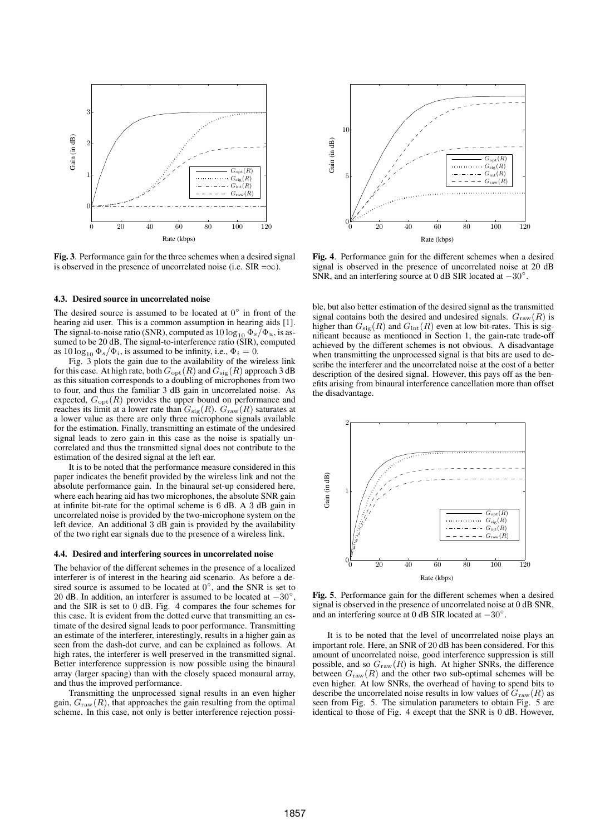## frag replacements



**Fig. 3**. Performance gain for the three schemes when a desired signal is observed in the presence of uncorrelated noise (i.e. SIR = $\infty$ ).

#### **4.3. Desired source in uncorrelated noise**

The desired source is assumed to be located at  $0^{\circ}$  in front of the hearing aid user. This is a common assumption in hearing aids [1]. The signal-to-noise ratio (SNR), computed as  $10 \log_{10} \Phi_s / \Phi_u$ , is assumed to be 20 dB. The signal-to-interference ratio (SIR), computed as  $10 \log_{10} \Phi_s / \Phi_i$ , is assumed to be infinity, i.e.,  $\Phi_i = 0$ .

Fig. 3 plots the gain due to the availability of the wireless link for this case. At high rate, both  $G_{\text{opt}}(R)$  and  $G_{\text{sig}}(R)$  approach 3 dB as this situation corresponds to a doubling of microphones from two to four, and thus the familiar  $3$  dB gain in uncorrelates imagiscep lasements disadvantage. expected,  $G_{opt}(R)$  provides the upper bound on performance and reaches its limit at a lower rate than  $G_{sig}(R)$ .  $G_{raw}(R)$  saturates at a lower value as there are only three microphone signals available for the estimation. Finally, transmitting an estimate of the undesired signal leads to zero gain in this case as the noise is spatially uncorrelated and thus the transmitted signal does not contribute to the estimation of the desired signal at the left ear.

It is to be noted that the performance measure considered in this paper indicates the benefit provided by the wireless link and not the absolute performance gain. In the binaural set-up considered here, where each hearing aid has two microphones, the absolute SNR gain at infinite bit-rate for the optimal scheme is 6 dB. A 3 dB gain in uncorrelated noise is provided by the two-microphone system on the left device. An additional 3 dB gain is provided by the availability of the two right ear signals due to the presence of a wireless link.

#### **4.4. Desired and interfering sources in uncorrelated noise**

The behavior of the different schemes in the presence of a localized interferer is of interest in the hearing aid scenario. As before a desired source is assumed to be located at  $0^{\circ}$ , and the SNR is set to 20 dB. In addition, an interferer is assumed to be located at  $-30^\circ$ , and the SIR is set to 0 dB. Fig. 4 compares the four schemes for this case. It is evident from the dotted curve that transmitting an estimate of the desired signal leads to poor performance. Transmitting an estimate of the interferer, interestingly, results in a higher gain as seen from the dash-dot curve, and can be explained as follows. At high rates, the interferer is well preserved in the transmitted signal. Better interference suppression is now possible using the binaural array (larger spacing) than with the closely spaced monaural array, and thus the improved performance.

Transmitting the unprocessed signal results in an even higher gain,  $G<sub>raw</sub>(R)$ , that approaches the gain resulting from the optimal scheme. In this case, not only is better interference rejection possi-



**Fig. 4**. Performance gain for the different schemes when a desired signal is observed in the presence of uncorrelated noise at 20 dB SNR, and an interfering source at 0 dB SIR located at  $-30^\circ$ .

ble, but also better estimation of the desired signal as the transmitted signal contains both the desired and undesired signals.  $G<sub>raw</sub>(R)$  is higher than  $G_{sig}(R)$  and  $G_{int}(R)$  even at low bit-rates. This is significant because as mentioned in Section 1, the gain-rate trade-off achieved by the different schemes is not obvious. A disadvantage when transmitting the unprocessed signal is that bits are used to describe the interferer and the uncorrelated noise at the cost of a better description of the desired signal. However, this pays off as the benefits arising from binaural interference cancellation more than offset



**Fig. 5**. Performance gain for the different schemes when a desired signal is observed in the presence of uncorrelated noise at 0 dB SNR, and an interfering source at 0 dB SIR located at  $-30^\circ$ .

It is to be noted that the level of uncorrrelated noise plays an important role. Here, an SNR of 20 dB has been considered. For this amount of uncorrelated noise, good interference suppression is still possible, and so  $G<sub>raw</sub>(R)$  is high. At higher SNRs, the difference between  $G<sub>raw</sub>(R)$  and the other two sub-optimal schemes will be even higher. At low SNRs, the overhead of having to spend bits to describe the uncorrelated noise results in low values of  $G<sub>raw</sub>(R)$  as seen from Fig. 5. The simulation parameters to obtain Fig. 5 are identical to those of Fig. 4 except that the SNR is 0 dB. However,